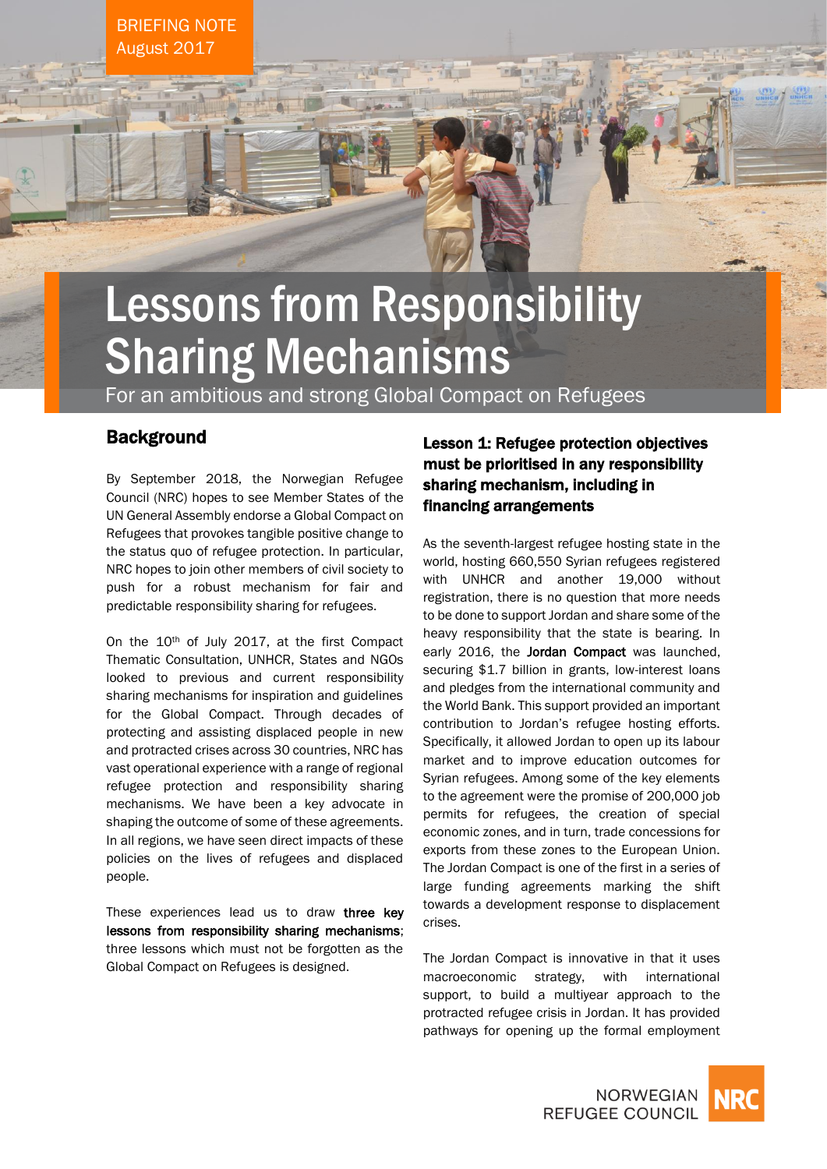BRIEFING NOTE August 2017

# Lessons from Responsibility Sharing Mechanisms

For an ambitious and strong Global Compact on Refugees

### **Background**

By September 2018, the Norwegian Refugee Council (NRC) hopes to see Member States of the UN General Assembly endorse a Global Compact on Refugees that provokes tangible positive change to the status quo of refugee protection. In particular, NRC hopes to join other members of civil society to push for a robust mechanism for fair and predictable responsibility sharing for refugees.

On the 10th of July 2017, at the first Compact Thematic Consultation, UNHCR, States and NGOs looked to previous and current responsibility sharing mechanisms for inspiration and guidelines for the Global Compact. Through decades of protecting and assisting displaced people in new and protracted crises across 30 countries, NRC has vast operational experience with a range of regional refugee protection and responsibility sharing mechanisms. We have been a key advocate in shaping the outcome of some of these agreements. In all regions, we have seen direct impacts of these policies on the lives of refugees and displaced people.

These experiences lead us to draw three key lessons from responsibility sharing mechanisms; three lessons which must not be forgotten as the Global Compact on Refugees is designed.

## Lesson 1: Refugee protection objectives must be prioritised in any responsibility sharing mechanism, including in financing arrangements

As the seventh-largest refugee hosting state in the world, hosting 660,550 Syrian refugees registered with UNHCR and another 19,000 without registration, there is no question that more needs to be done to support Jordan and share some of the heavy responsibility that the state is bearing. In early 2016, the **Jordan Compact** was launched, securing \$1.7 billion in grants, low-interest loans and pledges from the international community and the World Bank. This support provided an important contribution to Jordan's refugee hosting efforts. Specifically, it allowed Jordan to open up its labour market and to improve education outcomes for Syrian refugees. Among some of the key elements to the agreement were the promise of 200,000 job permits for refugees, the creation of special economic zones, and in turn, trade concessions for exports from these zones to the European Union. The Jordan Compact is one of the first in a series of large funding agreements marking the shift towards a development response to displacement crises.

The Jordan Compact is innovative in that it uses macroeconomic strategy, with international support, to build a multiyear approach to the protracted refugee crisis in Jordan. It has provided pathways for opening up the formal employment



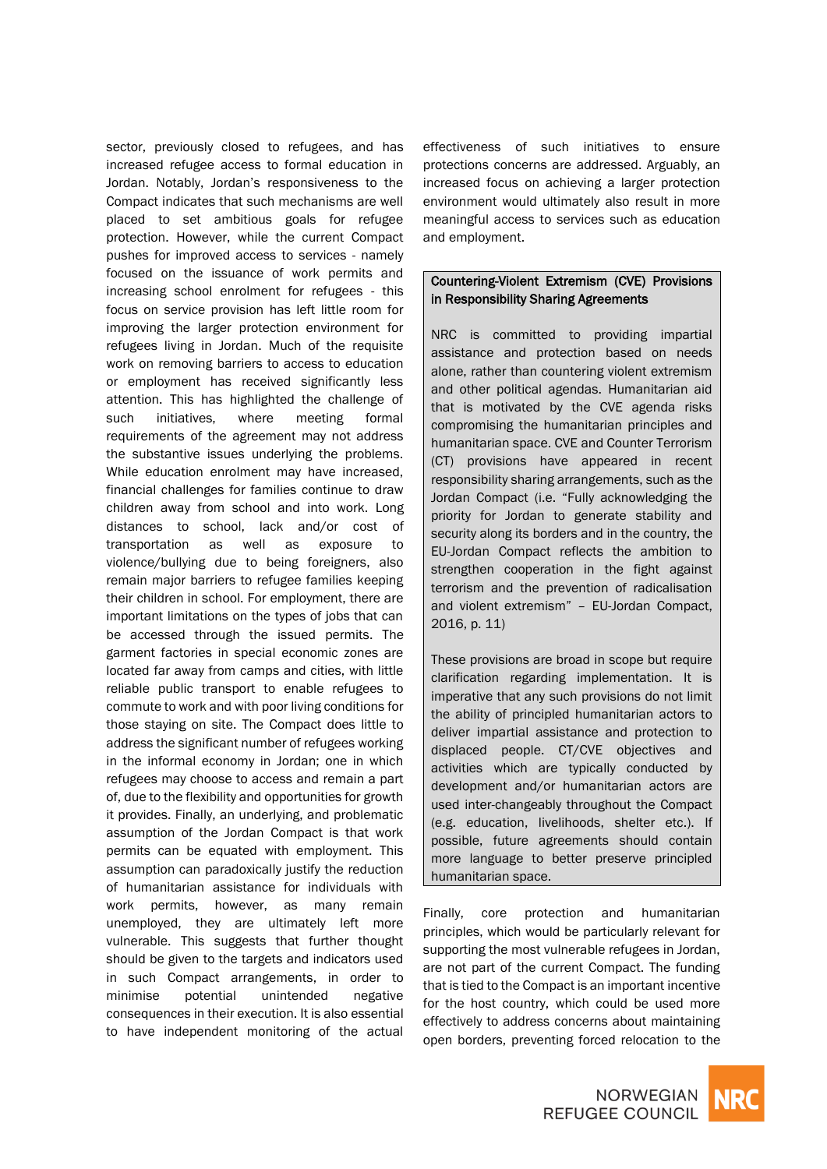sector, previously closed to refugees, and has increased refugee access to formal education in Jordan. Notably, Jordan's responsiveness to the Compact indicates that such mechanisms are well placed to set ambitious goals for refugee protection. However, while the current Compact pushes for improved access to services - namely focused on the issuance of work permits and increasing school enrolment for refugees - this focus on service provision has left little room for improving the larger protection environment for refugees living in Jordan. Much of the requisite work on removing barriers to access to education or employment has received significantly less attention. This has highlighted the challenge of such initiatives, where meeting formal requirements of the agreement may not address the substantive issues underlying the problems. While education enrolment may have increased, financial challenges for families continue to draw children away from school and into work. Long distances to school, lack and/or cost of transportation as well as exposure to violence/bullying due to being foreigners, also remain major barriers to refugee families keeping their children in school. For employment, there are important limitations on the types of jobs that can be accessed through the issued permits. The garment factories in special economic zones are located far away from camps and cities, with little reliable public transport to enable refugees to commute to work and with poor living conditions for those staying on site. The Compact does little to address the significant number of refugees working in the informal economy in Jordan; one in which refugees may choose to access and remain a part of, due to the flexibility and opportunities for growth it provides. Finally, an underlying, and problematic assumption of the Jordan Compact is that work permits can be equated with employment. This assumption can paradoxically justify the reduction of humanitarian assistance for individuals with work permits, however, as many remain unemployed, they are ultimately left more vulnerable. This suggests that further thought should be given to the targets and indicators used in such Compact arrangements, in order to minimise potential unintended negative consequences in their execution. It is also essential to have independent monitoring of the actual

effectiveness of such initiatives to ensure protections concerns are addressed. Arguably, an increased focus on achieving a larger protection environment would ultimately also result in more meaningful access to services such as education and employment.

#### Countering-Violent Extremism (CVE) Provisions in Responsibility Sharing Agreements

NRC is committed to providing impartial assistance and protection based on needs alone, rather than countering violent extremism and other political agendas. Humanitarian aid that is motivated by the CVE agenda risks compromising the humanitarian principles and humanitarian space. CVE and Counter Terrorism (CT) provisions have appeared in recent responsibility sharing arrangements, such as the Jordan Compact (i.e. "Fully acknowledging the priority for Jordan to generate stability and security along its borders and in the country, the EU-Jordan Compact reflects the ambition to strengthen cooperation in the fight against terrorism and the prevention of radicalisation and violent extremism" – EU-Jordan Compact, 2016, p. 11)

These provisions are broad in scope but require clarification regarding implementation. It is imperative that any such provisions do not limit the ability of principled humanitarian actors to deliver impartial assistance and protection to displaced people. CT/CVE objectives and activities which are typically conducted by development and/or humanitarian actors are used inter-changeably throughout the Compact (e.g. education, livelihoods, shelter etc.). If possible, future agreements should contain more language to better preserve principled humanitarian space.

Finally, core protection and humanitarian principles, which would be particularly relevant for supporting the most vulnerable refugees in Jordan, are not part of the current Compact. The funding that is tied to the Compact is an important incentive for the host country, which could be used more effectively to address concerns about maintaining open borders, preventing forced relocation to the

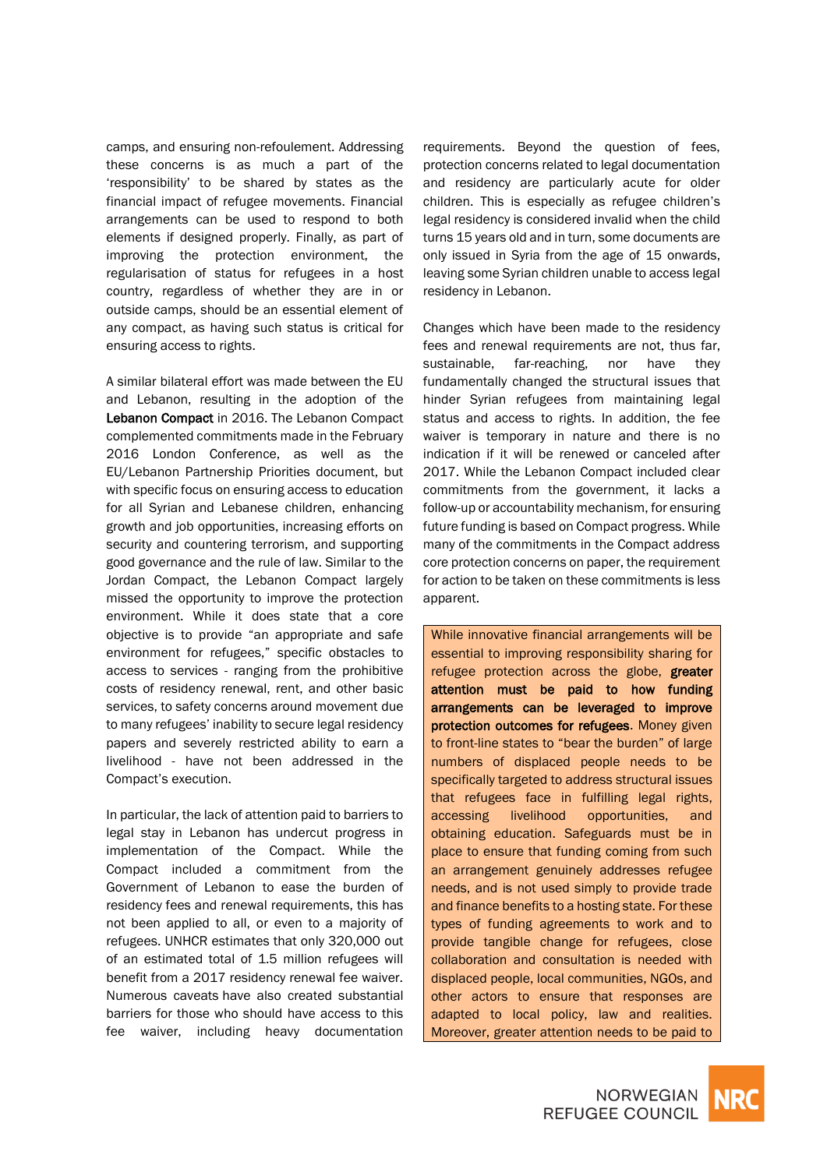camps, and ensuring non-refoulement. Addressing these concerns is as much a part of the 'responsibility' to be shared by states as the financial impact of refugee movements. Financial arrangements can be used to respond to both elements if designed properly. Finally, as part of improving the protection environment, the regularisation of status for refugees in a host country, regardless of whether they are in or outside camps, should be an essential element of any compact, as having such status is critical for ensuring access to rights.

A similar bilateral effort was made between the EU and Lebanon, resulting in the adoption of the Lebanon Compact in 2016. The Lebanon Compact complemented commitments made in the February 2016 London Conference, as well as the EU/Lebanon Partnership Priorities document, but with specific focus on ensuring access to education for all Syrian and Lebanese children, enhancing growth and job opportunities, increasing efforts on security and countering terrorism, and supporting good governance and the rule of law. Similar to the Jordan Compact, the Lebanon Compact largely missed the opportunity to improve the protection environment. While it does state that a core objective is to provide "an appropriate and safe environment for refugees," specific obstacles to access to services - ranging from the prohibitive costs of residency renewal, rent, and other basic services, to safety concerns around movement due to many refugees' inability to secure legal residency papers and severely restricted ability to earn a livelihood - have not been addressed in the Compact's execution.

In particular, the lack of attention paid to barriers to legal stay in Lebanon has undercut progress in implementation of the Compact. While the Compact included a commitment from the Government of Lebanon to ease the burden of residency fees and renewal requirements, this has not been applied to all, or even to a majority of refugees. UNHCR estimates that only 320,000 out of an estimated total of 1.5 million refugees will benefit from a 2017 residency renewal fee waiver. Numerous caveats have also created substantial barriers for those who should have access to this fee waiver, including heavy documentation

requirements. Beyond the question of fees, protection concerns related to legal documentation and residency are particularly acute for older children. This is especially as refugee children's legal residency is considered invalid when the child turns 15 years old and in turn, some documents are only issued in Syria from the age of 15 onwards, leaving some Syrian children unable to access legal residency in Lebanon.

Changes which have been made to the residency fees and renewal requirements are not, thus far, sustainable, far-reaching, nor have they fundamentally changed the structural issues that hinder Syrian refugees from maintaining legal status and access to rights. In addition, the fee waiver is temporary in nature and there is no indication if it will be renewed or canceled after 2017. While the Lebanon Compact included clear commitments from the government, it lacks a follow-up or accountability mechanism, for ensuring future funding is based on Compact progress. While many of the commitments in the Compact address core protection concerns on paper, the requirement for action to be taken on these commitments is less apparent.

While innovative financial arrangements will be essential to improving responsibility sharing for refugee protection across the globe, greater attention must be paid to how funding arrangements can be leveraged to improve protection outcomes for refugees. Money given to front-line states to "bear the burden" of large numbers of displaced people needs to be specifically targeted to address structural issues that refugees face in fulfilling legal rights, accessing livelihood opportunities, and obtaining education. Safeguards must be in place to ensure that funding coming from such an arrangement genuinely addresses refugee needs, and is not used simply to provide trade and finance benefits to a hosting state. For these types of funding agreements to work and to provide tangible change for refugees, close collaboration and consultation is needed with displaced people, local communities, NGOs, and other actors to ensure that responses are adapted to local policy, law and realities. Moreover, greater attention needs to be paid to

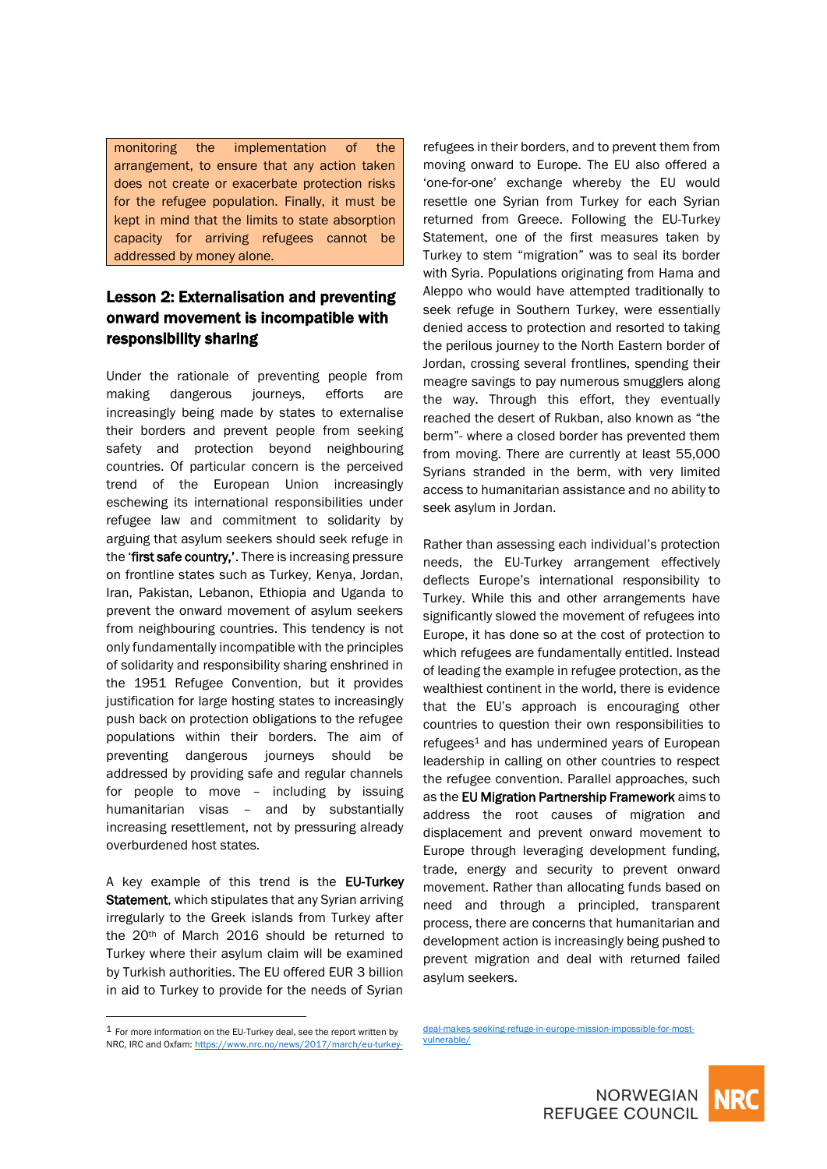monitoring the implementation of the arrangement, to ensure that any action taken does not create or exacerbate protection risks for the refugee population. Finally, it must be kept in mind that the limits to state absorption capacity for arriving refugees cannot be addressed by money alone.

### Lesson 2: Externalisation and preventing onward movement is incompatible with responsibility sharing

Under the rationale of preventing people from making dangerous journeys, efforts are increasingly being made by states to externalise their borders and prevent people from seeking safety and protection beyond neighbouring countries. Of particular concern is the perceived trend of the European Union increasingly eschewing its international responsibilities under refugee law and commitment to solidarity by arguing that asylum seekers should seek refuge in the 'first safe country,'. There is increasing pressure on frontline states such as Turkey, Kenya, Jordan, Iran, Pakistan, Lebanon, Ethiopia and Uganda to prevent the onward movement of asylum seekers from neighbouring countries. This tendency is not only fundamentally incompatible with the principles of solidarity and responsibility sharing enshrined in the 1951 Refugee Convention, but it provides justification for large hosting states to increasingly push back on protection obligations to the refugee populations within their borders. The aim of preventing dangerous journeys should be addressed by providing safe and regular channels for people to move – including by issuing humanitarian visas – and by substantially increasing resettlement, not by pressuring already overburdened host states.

A key example of this trend is the EU-Turkey Statement, which stipulates that any Syrian arriving irregularly to the Greek islands from Turkey after the 20th of March 2016 should be returned to Turkey where their asylum claim will be examined by Turkish authorities. The EU offered EUR 3 billion in aid to Turkey to provide for the needs of Syrian

refugees in their borders, and to prevent them from moving onward to Europe. The EU also offered a 'one-for-one' exchange whereby the EU would resettle one Syrian from Turkey for each Syrian returned from Greece. Following the EU-Turkey Statement, one of the first measures taken by Turkey to stem "migration" was to seal its border with Syria. Populations originating from Hama and Aleppo who would have attempted traditionally to seek refuge in Southern Turkey, were essentially denied access to protection and resorted to taking the perilous journey to the North Eastern border of Jordan, crossing several frontlines, spending their meagre savings to pay numerous smugglers along the way. Through this effort, they eventually reached the desert of Rukban, also known as "the berm"- where a closed border has prevented them from moving. There are currently at least 55,000 Syrians stranded in the berm, with very limited access to humanitarian assistance and no ability to seek asylum in Jordan.

Rather than assessing each individual's protection needs, the EU-Turkey arrangement effectively deflects Europe's international responsibility to Turkey. While this and other arrangements have significantly slowed the movement of refugees into Europe, it has done so at the cost of protection to which refugees are fundamentally entitled. Instead of leading the example in refugee protection, as the wealthiest continent in the world, there is evidence that the EU's approach is encouraging other countries to question their own responsibilities to refugees<sup>1</sup> and has undermined years of European leadership in calling on other countries to respect the refugee convention. Parallel approaches, such as the EU Migration Partnership Framework aims to address the root causes of migration and displacement and prevent onward movement to Europe through leveraging development funding, trade, energy and security to prevent onward movement. Rather than allocating funds based on need and through a principled, transparent process, there are concerns that humanitarian and development action is increasingly being pushed to prevent migration and deal with returned failed asylum seekers.

 $\overline{a}$ 

[deal-makes-seeking-refuge-in-europe-mission-impossible-for-most](https://www.nrc.no/news/2017/march/eu-turkey-deal-makes-seeking-refuge-in-europe-mission-impossible-for-most-vulnerable/)[vulnerable/](https://www.nrc.no/news/2017/march/eu-turkey-deal-makes-seeking-refuge-in-europe-mission-impossible-for-most-vulnerable/)



 $1$  For more information on the EU-Turkey deal, see the report written by NRC, IRC and Oxfam[: https://www.nrc.no/news/2017/march/eu-turkey-](https://www.nrc.no/news/2017/march/eu-turkey-deal-makes-seeking-refuge-in-europe-mission-impossible-for-most-vulnerable/)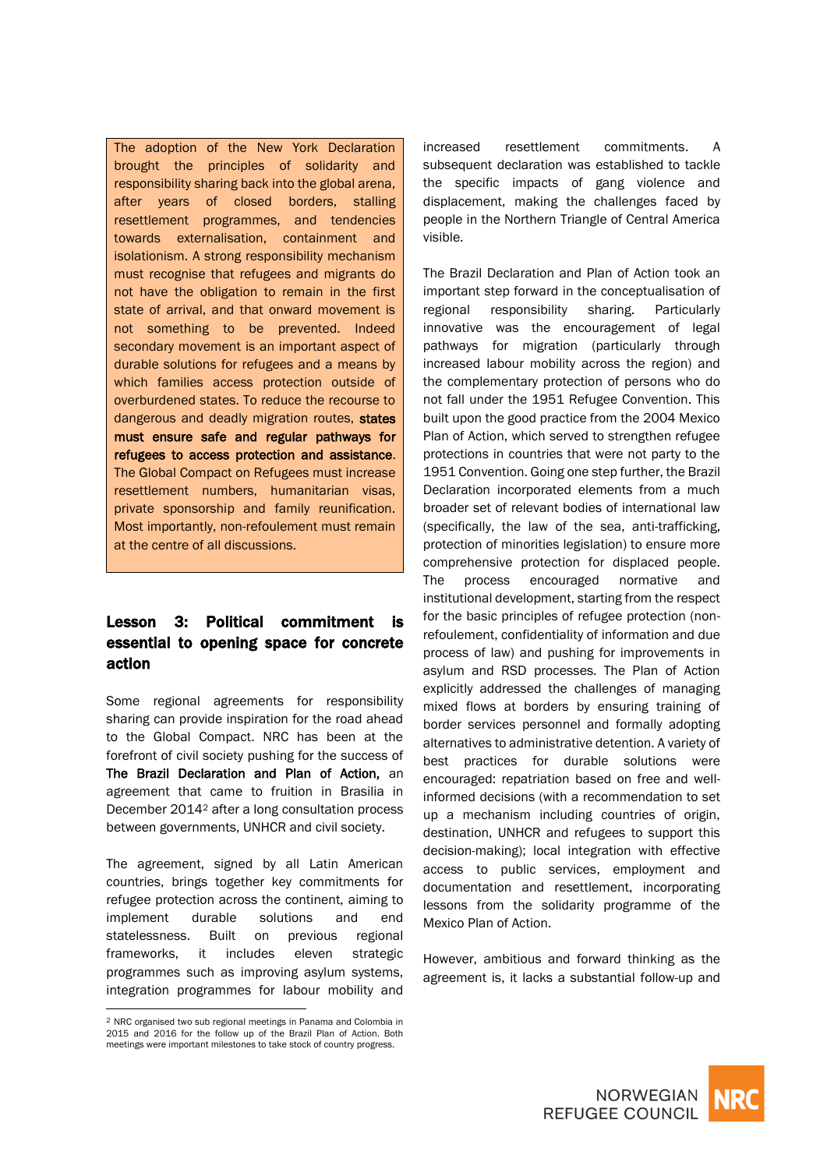The adoption of the New York Declaration brought the principles of solidarity and responsibility sharing back into the global arena, after years of closed borders, stalling resettlement programmes, and tendencies towards externalisation, containment and isolationism. A strong responsibility mechanism must recognise that refugees and migrants do not have the obligation to remain in the first state of arrival, and that onward movement is not something to be prevented. Indeed secondary movement is an important aspect of durable solutions for refugees and a means by which families access protection outside of overburdened states. To reduce the recourse to dangerous and deadly migration routes, states must ensure safe and regular pathways for refugees to access protection and assistance. The Global Compact on Refugees must increase resettlement numbers, humanitarian visas, private sponsorship and family reunification. Most importantly, non-refoulement must remain at the centre of all discussions.

## Lesson 3: Political commitment is essential to opening space for concrete action

Some regional agreements for responsibility sharing can provide inspiration for the road ahead to the Global Compact. NRC has been at the forefront of civil society pushing for the success of The Brazil Declaration and Plan of Action, an agreement that came to fruition in Brasilia in December 2014<sup>2</sup> after a long consultation process between governments, UNHCR and civil society.

The agreement, signed by all Latin American countries, brings together key commitments for refugee protection across the continent, aiming to implement durable solutions and end statelessness. Built on previous regional frameworks, it includes eleven strategic programmes such as improving asylum systems, integration programmes for labour mobility and

 $\overline{a}$ 

increased resettlement commitments. A subsequent declaration was established to tackle the specific impacts of gang violence and displacement, making the challenges faced by people in the Northern Triangle of Central America visible.

The Brazil Declaration and Plan of Action took an important step forward in the conceptualisation of regional responsibility sharing. Particularly innovative was the encouragement of legal pathways for migration (particularly through increased labour mobility across the region) and the complementary protection of persons who do not fall under the 1951 Refugee Convention. This built upon the good practice from the 2004 Mexico Plan of Action, which served to strengthen refugee protections in countries that were not party to the 1951 Convention. Going one step further, the Brazil Declaration incorporated elements from a much broader set of relevant bodies of international law (specifically, the law of the sea, anti-trafficking, protection of minorities legislation) to ensure more comprehensive protection for displaced people. The process encouraged normative and institutional development, starting from the respect for the basic principles of refugee protection (nonrefoulement, confidentiality of information and due process of law) and pushing for improvements in asylum and RSD processes. The Plan of Action explicitly addressed the challenges of managing mixed flows at borders by ensuring training of border services personnel and formally adopting alternatives to administrative detention. A variety of best practices for durable solutions were encouraged: repatriation based on free and wellinformed decisions (with a recommendation to set up a mechanism including countries of origin, destination, UNHCR and refugees to support this decision-making); local integration with effective access to public services, employment and documentation and resettlement, incorporating lessons from the solidarity programme of the Mexico Plan of Action.

However, ambitious and forward thinking as the agreement is, it lacks a substantial follow-up and



<sup>2</sup> NRC organised two sub regional meetings in Panama and Colombia in 2015 and 2016 for the follow up of the Brazil Plan of Action. Both meetings were important milestones to take stock of country progress.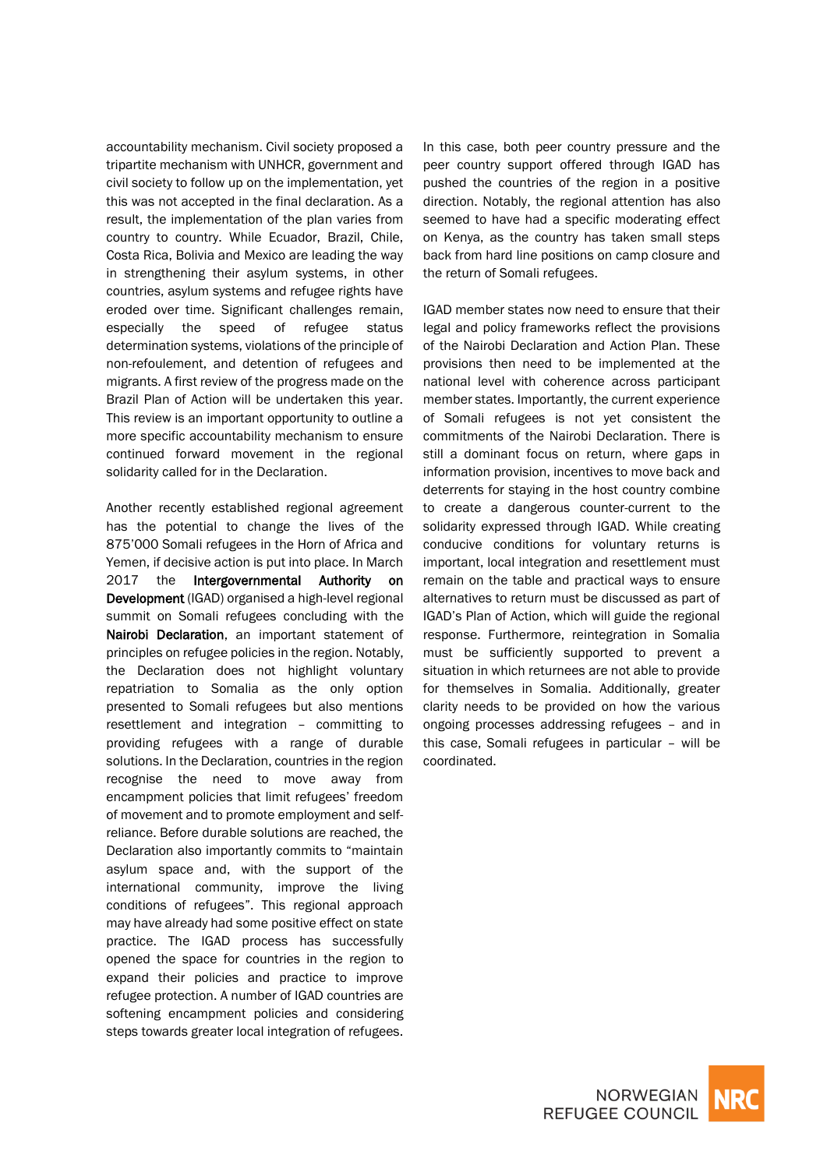accountability mechanism. Civil society proposed a tripartite mechanism with UNHCR, government and civil society to follow up on the implementation, yet this was not accepted in the final declaration. As a result, the implementation of the plan varies from country to country. While Ecuador, Brazil, Chile, Costa Rica, Bolivia and Mexico are leading the way in strengthening their asylum systems, in other countries, asylum systems and refugee rights have eroded over time. Significant challenges remain, especially the speed of refugee status determination systems, violations of the principle of non-refoulement, and detention of refugees and migrants. A first review of the progress made on the Brazil Plan of Action will be undertaken this year. This review is an important opportunity to outline a more specific accountability mechanism to ensure continued forward movement in the regional solidarity called for in the Declaration.

Another recently established regional agreement has the potential to change the lives of the 875'000 Somali refugees in the Horn of Africa and Yemen, if decisive action is put into place. In March 2017 the Intergovernmental Authority on Development (IGAD) organised a high-level regional summit on Somali refugees concluding with the Nairobi Declaration, an important statement of principles on refugee policies in the region. Notably, the Declaration does not highlight voluntary repatriation to Somalia as the only option presented to Somali refugees but also mentions resettlement and integration – committing to providing refugees with a range of durable solutions. In the Declaration, countries in the region recognise the need to move away from encampment policies that limit refugees' freedom of movement and to promote employment and selfreliance. Before durable solutions are reached, the Declaration also importantly commits to "maintain asylum space and, with the support of the international community, improve the living conditions of refugees". This regional approach may have already had some positive effect on state practice. The IGAD process has successfully opened the space for countries in the region to expand their policies and practice to improve refugee protection. A number of IGAD countries are softening encampment policies and considering steps towards greater local integration of refugees.

In this case, both peer country pressure and the peer country support offered through IGAD has pushed the countries of the region in a positive direction. Notably, the regional attention has also seemed to have had a specific moderating effect on Kenya, as the country has taken small steps back from hard line positions on camp closure and the return of Somali refugees.

IGAD member states now need to ensure that their legal and policy frameworks reflect the provisions of the Nairobi Declaration and Action Plan. These provisions then need to be implemented at the national level with coherence across participant member states. Importantly, the current experience of Somali refugees is not yet consistent the commitments of the Nairobi Declaration. There is still a dominant focus on return, where gaps in information provision, incentives to move back and deterrents for staying in the host country combine to create a dangerous counter-current to the solidarity expressed through IGAD. While creating conducive conditions for voluntary returns is important, local integration and resettlement must remain on the table and practical ways to ensure alternatives to return must be discussed as part of IGAD's Plan of Action, which will guide the regional response. Furthermore, reintegration in Somalia must be sufficiently supported to prevent a situation in which returnees are not able to provide for themselves in Somalia. Additionally, greater clarity needs to be provided on how the various ongoing processes addressing refugees – and in this case, Somali refugees in particular – will be coordinated.